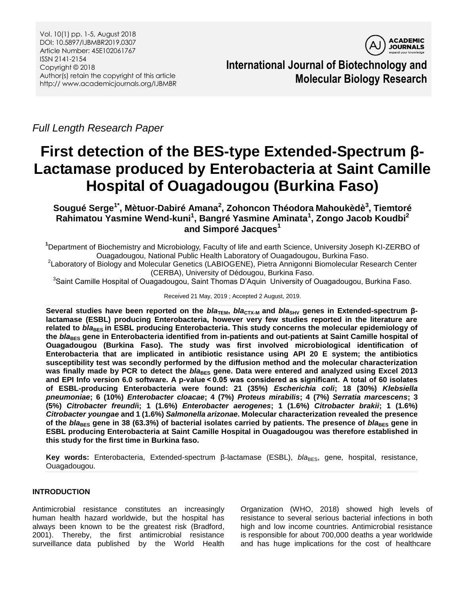

**International Journal of Biotechnology and Molecular Biology Research**

*Full Length Research Paper*

# **First detection of the BES-type Extended-Spectrum β-Lactamase produced by Enterobacteria at Saint Camille Hospital of Ouagadougou (Burkina Faso)**

**Sougué Serge1\* , Mètuor-Dabiré Amana<sup>2</sup> , Zohoncon Théodora Mahoukèdè<sup>3</sup> , Tiemtoré Rahimatou Yasmine Wend-kuni<sup>1</sup> , Bangré Yasmine Aminata<sup>1</sup> , Zongo Jacob Koudbi<sup>2</sup> and Simporé Jacques<sup>1</sup>**

**<sup>1</sup>**Department of Biochemistry and Microbiology, Faculty of life and earth Science, University Joseph KI-ZERBO of Ouagadougou, National Public Health Laboratory of Ouagadougou, Burkina Faso.

2 Laboratory of Biology and Molecular Genetics (LABIOGENE), Pietra Annigonni Biomolecular Research Center (CERBA), University of Dédougou, Burkina Faso.

<sup>3</sup>Saint Camille Hospital of Ouagadougou, Saint Thomas D'Aquin University of Ouagadougou, Burkina Faso.

## Received 21 May, 2019 ; Accepted 2 August, 2019.

Several studies have been reported on the *bla*<sub>TEM</sub>, *bla*<sub>CTX-M</sub> and *bla*<sub>SHV</sub> genes in Extended-spectrum β**lactamase (ESBL) producing Enterobacteria, however very few studies reported in the literature are**  related to *bla*<sub>BES</sub> in ESBL producing Enterobacteria. This study concerns the molecular epidemiology of the *bla*<sub>BES</sub> gene in Enterobacteria identified from in-patients and out-patients at Saint Camille hospital of **Ouagadougou (Burkina Faso). The study was first involved microbiological identification of Enterobacteria that are implicated in antibiotic resistance using API 20 E system; the antibiotics susceptibility test was secondly performed by the diffusion method and the molecular characterization**  was finally made by PCR to detect the *bla*<sub>BES</sub> gene. Data were entered and analyzed using Excel 2013 **and EPI Info version 6.0 software. A p-value < 0.05 was considered as significant. A total of 60 isolates of ESBL-producing Enterobacteria were found: 21 (35%)** *Escherichia coli***; 18 (30%)** *Klebsiella pneumoniae***; 6 (10%)** *Enterobacter cloacae***; 4 (7%)** *Proteus mirabilis***; 4 (7%)** *Serratia marcescens***; 3 (5%)** *Citrobacter freundi***i; 1 (1.6%)** *Enterobacter aerogenes***; 1 (1.6%)** *Citrobacter brakii***; 1 (1.6%)**  *Citrobacter youngae* **and 1 (1.6%)** *Salmonella arizonae***. Molecular characterization revealed the presence**  of the *bla*<sub>BES</sub> gene in 38 (63.3%) of bacterial isolates carried by patients. The presence of *bla*<sub>BES</sub> gene in **ESBL producing Enterobacteria at Saint Camille Hospital in Ouagadougou was therefore established in this study for the first time in Burkina faso.**

Key words: Enterobacteria, Extended-spectrum β-lactamase (ESBL), *bla*<sub>BES</sub>, gene, hospital, resistance, Ouagadougou.

# **INTRODUCTION**

Antimicrobial resistance constitutes an increasingly human health hazard worldwide, but the hospital has always been known to be the greatest risk (Bradford, 2001). Thereby, the first antimicrobial resistance surveillance data published by the World Health Organization (WHO, 2018) showed high levels of resistance to several serious bacterial infections in both high and low income countries. Antimicrobial resistance is responsible for about 700,000 deaths a year worldwide and has huge implications for the cost of healthcare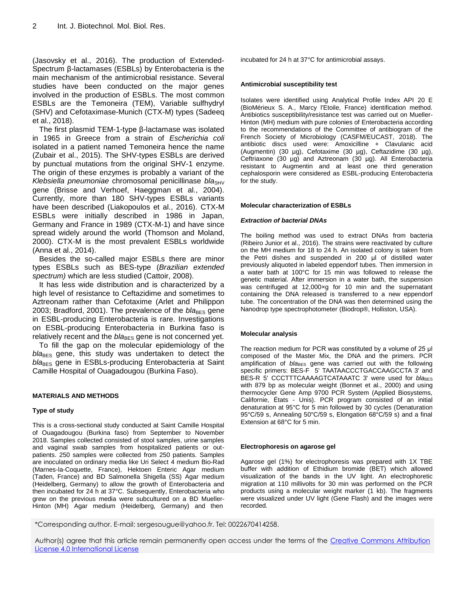(Jasovsky et al., 2016). The production of Extended-Spectrum β-lactamases (ESBLs) by Enterobacteria is the main mechanism of the antimicrobial resistance. Several studies have been conducted on the major genes involved in the production of ESBLs. The most common ESBLs are the Temoneira (TEM), Variable sulfhydryl (SHV) and Cefotaximase-Munich (CTX-M) types (Sadeeq et al., 2018).

The first plasmid TEM-1-type β-lactamase was isolated in 1965 in Greece from a strain of *Escherichia coli* isolated in a patient named Temoneira hence the name (Zubair et al., 2015). The SHV-types ESBLs are derived by punctual mutations from the original SHV-1 enzyme. The origin of these enzymes is probably a variant of the *Klebsiella pneumoniae* chromosomal penicillinase *bla*<sub>SHV</sub> gene (Brisse and Verhoef, Haeggman et al., 2004). Currently, more than 180 SHV-types ESBLs variants have been described (Liakopoulos et al., 2016). CTX-M ESBLs were initially described in 1986 in Japan, Germany and France in 1989 (CTX-M-1) and have since spread widely around the world (Thomson and Moland, 2000). CTX-M is the most prevalent ESBLs worldwide (Anna et al., 2014).

Besides the so-called major ESBLs there are minor types ESBLs such as BES-type (*Brazilian extended spectrum)* which are less studied (Cattoir, 2008).

It has less wide distribution and is characterized by a high level of resistance to Ceftazidime and sometimes to Aztreonam rather than Cefotaxime (Arlet and Philippon 2003; Bradford, 2001). The prevalence of the *bla<sub>BES</sub>* gene in ESBL-producing Enterobacteria is rare. Investigations on ESBL-producing Enterobacteria in Burkina faso is relatively recent and the *bla*<sub>BES</sub> gene is not concerned yet.

To fill the gap on the molecular epidemiology of the *bla*<sub>BES</sub> gene, this study was undertaken to detect the *bla*<sub>BES</sub> gene in ESBLs-producing Enterobacteria at Saint Camille Hospital of Ouagadougou (Burkina Faso).

## **MATERIALS AND METHODS**

## **Type of study**

This is a cross-sectional study conducted at Saint Camille Hospital of Ouagadougou (Burkina faso) from September to November 2018. Samples collected consisted of stool samples, urine samples and vaginal swab samples from hospitalized patients or outpatients. 250 samples were collected from 250 patients. Samples are inoculated on ordinary media like Uri Select 4 medium Bio-Rad (Marnes-la-Coquette, France), Hektoen Enteric Agar medium (Taden, France) and BD Salmonella Shigella (SS) Agar medium (Heidelberg, Germany) to allow the growth of Enterobacteria and then incubated for 24 h at 37°C. Subsequently, Enterobacteria who grew on the previous media were subcultured on a BD Mueller-Hinton (MH) Agar medium (Heidelberg, Germany) and then

incubated for 24 h at 37°C for antimicrobial assays.

#### **Antimicrobial susceptibility test**

Isolates were identified using Analytical Profile Index API 20 E (BioMérieux S. A., Marcy l'Etoile, France) identification method. Antibiotics susceptibility/resistance test was carried out on Mueller-Hinton (MH) medium with pure colonies of Enterobacteria according to the recommendations of the Committee of antibiogram of the French Society of Microbiology (CASFM/EUCAST, 2018). The antibiotic discs used were: Amoxicilline + Clavulanic acid (Augmentin) (30 µg), Cefotaxime (30 µg), Ceftazidime (30 µg), Ceftriaxone (30 µg) and Aztreonam (30 µg). All Enterobacteria resistant to Augmentin and at least one third generation cephalosporin were considered as ESBL-producing Enterobacteria for the study.

#### **Molecular characterization of ESBLs**

#### *Extraction of bacterial DNAs*

The boiling method was used to extract DNAs from bacteria (Ribeiro Junior et al., 2016). The strains were reactivated by culture on the MH medium for 18 to 24 h. An isolated colony is taken from the Petri dishes and suspended in 200 μl of distilled water previously aliquoted in labeled eppendorf tubes. Then immersion in a water bath at 100°C for 15 min was followed to release the genetic material. After immersion in a water bath, the suspension was centrifuged at 12,000×g for 10 min and the supernatant containing the DNA released is transferred to a new eppendorf tube. The concentration of the DNA was then determined using the Nanodrop type spectrophotometer (Biodrop®, Holliston, USA).

## **Molecular analysis**

The reaction medium for PCR was constituted by a volume of 25 μl composed of the Master Mix, the DNA and the primers. PCR amplification of *bla*BES gene was carried out with the following specific primers: BES-F 5' TAATAACCCTGACCAAGCCTA 3' and BES-R 5' CCCTTTCAAAAGTCATAAATC 3' were used for *bla*BES with 879 bp as molecular weight (Bonnet et al., 2000) and using thermocycler Gene Amp 9700 PCR System (Applied Biosystems, Californie, États - Unis). PCR program consisted of an initial denaturation at 95°C for 5 min followed by 30 cycles (Denaturation 95°C/59 s, Annealing 50°C/59 s, Elongation 68°C/59 s) and a final Extension at 68°C for 5 min.

#### **Electrophoresis on agarose gel**

Agarose gel (1%) for electrophoresis was prepared with 1X TBE buffer with addition of Ethidium bromide (BET) which allowed visualization of the bands in the UV light. An electrophoretic migration at 110 millivolts for 30 min was performed on the PCR products using a molecular weight marker (1 kb). The fragments were visualized under UV light (Gene Flash) and the images were recorded.

\*Corresponding author. E-mail: sergesougue@yahoo.fr. Tel: 0022670414258.

Author(s) agree that this article remain permanently open access under the terms of the Creative Commons Attribution [License 4.0 International License](http://creativecommons.org/licenses/by/4.0/deed.en_US)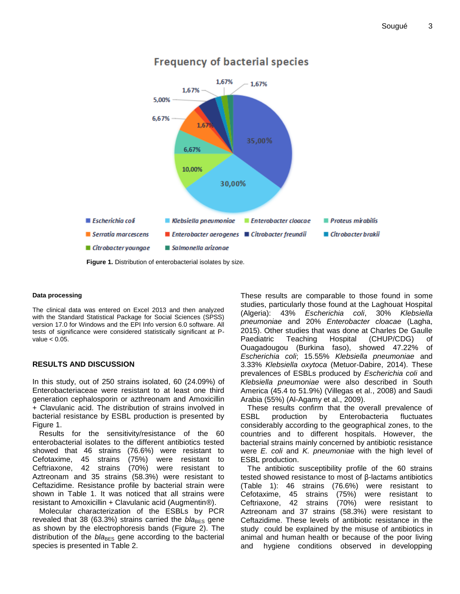

# **Frequency of bacterial species**

**Figure 1.** Distribution of enterobacterial isolates by size.

#### **Data processing**

The clinical data was entered on Excel 2013 and then analyzed with the Standard Statistical Package for Social Sciences (SPSS) version 17.0 for Windows and the EPI Info version 6.0 software. All tests of significance were considered statistically significant at Pvalue < 0.05.

## **RESULTS AND DISCUSSION**

In this study, out of 250 strains isolated, 60 (24.09%) of Enterobacteriaceae were resistant to at least one third generation cephalosporin or azthreonam and Amoxicillin + Clavulanic acid. The distribution of strains involved in bacterial resistance by ESBL production is presented by Figure 1.

Results for the sensitivity/resistance of the 60 enterobacterial isolates to the different antibiotics tested showed that 46 strains (76.6%) were resistant to Cefotaxime, 45 strains (75%) were resistant to Ceftriaxone, 42 strains (70%) were resistant to Aztreonam and 35 strains (58.3%) were resistant to Ceftazidime. Resistance profile by bacterial strain were shown in Table 1. It was noticed that all strains were resistant to Amoxicillin + Clavulanic acid (Augmentin®).

Molecular characterization of the ESBLs by PCR revealed that 38 (63.3%) strains carried the *bla*<sub>BES</sub> gene as shown by the electrophoresis bands (Figure 2). The distribution of the *bla*<sub>BES</sub> gene according to the bacterial species is presented in Table 2.

These results are comparable to those found in some studies, particularly those found at the Laghouat Hospital (Algeria): 43% *Escherichia coli*, 30% *Klebsiella pneumoniae* and 20% *Enterobacter cloacae* (Lagha, 2015). Other studies that was done at Charles De Gaulle Paediatric Teaching Hospital (CHUP/CDG) of Ouagadougou (Burkina faso), showed 47.22% of *Escherichia coli*; 15.55% *Klebsiella pneumoniae* and 3.33% *Klebsiella oxytoca* (Metuor-Dabire, 2014). These prevalences of ESBLs produced by *Escherichia coli* and *Klebsiella pneumoniae* were also described in South America (45.4 to 51.9%) (Villegas et al., 2008) and Saudi Arabia (55%) (Al-Agamy et al., 2009).

These results confirm that the overall prevalence of ESBL production by Enterobacteria fluctuates considerably according to the geographical zones, to the countries and to different hospitals. However, the bacterial strains mainly concerned by antibiotic resistance were *E. coli* and *K. pneumoniae* with the high level of ESBL production.

The antibiotic susceptibility profile of the 60 strains tested showed resistance to most of β-lactams antibiotics (Table 1): 46 strains (76.6%) were resistant to Cefotaxime, 45 strains (75%) were resistant to Ceftriaxone, 42 strains (70%) were resistant to Aztreonam and 37 strains (58.3%) were resistant to Ceftazidime. These levels of antibiotic resistance in the study could be explained by the misuse of antibiotics in animal and human health or because of the poor living and hygiene conditions observed in developping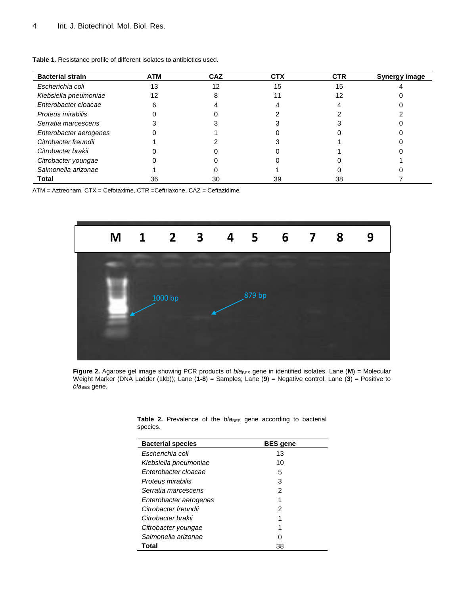| <b>Bacterial strain</b> | <b>ATM</b> | <b>CAZ</b> | <b>CTX</b> | <b>CTR</b> | Synergy image |
|-------------------------|------------|------------|------------|------------|---------------|
| Escherichia coli        | 13         | 12         | 15         | 15         |               |
| Klebsiella pneumoniae   | 12         |            |            | 12         |               |
| Enterobacter cloacae    |            |            |            |            |               |
| Proteus mirabilis       |            |            |            |            |               |
| Serratia marcescens     |            |            |            |            |               |
| Enterobacter aerogenes  |            |            |            |            |               |
| Citrobacter freundii    |            |            |            |            |               |
| Citrobacter brakii      |            |            |            |            |               |
| Citrobacter youngae     |            |            |            |            |               |
| Salmonella arizonae     |            |            |            |            |               |
| Total                   | 36         | 30         | 39         | 38         |               |

**Table 1.** Resistance profile of different isolates to antibiotics used.

ATM = Aztreonam, CTX = Cefotaxime, CTR =Ceftriaxone, CAZ = Ceftazidime.



**Figure 2.** Agarose gel image showing PCR products of  $b/a_{BES}$  gene in identified isolates. Lane (M) = Molecular Weight Marker (DNA Ladder (1kb)); Lane (**1-8**) = Samples; Lane (**9**) = Negative control; Lane (**3**) = Positive to  $bla_{\text{BES}}$  gene.

| <b>Bacterial species</b> | <b>BES</b> gene |  |  |  |
|--------------------------|-----------------|--|--|--|
| Escherichia coli         | 13              |  |  |  |
| Klebsiella pneumoniae    | 10              |  |  |  |
| Enterobacter cloacae     | 5               |  |  |  |
| Proteus mirabilis        | 3               |  |  |  |
| Serratia marcescens      | 2               |  |  |  |
| Enterobacter aerogenes   |                 |  |  |  |
| Citrobacter freundii     | 2               |  |  |  |
| Citrobacter brakii       |                 |  |  |  |
| Citrobacter youngae      |                 |  |  |  |
| Salmonella arizonae      |                 |  |  |  |
| Total                    | 38              |  |  |  |

|          | Table 2. Prevalence of the bla <sub>BES</sub> gene according to bacterial |  |  |  |  |
|----------|---------------------------------------------------------------------------|--|--|--|--|
| species. |                                                                           |  |  |  |  |